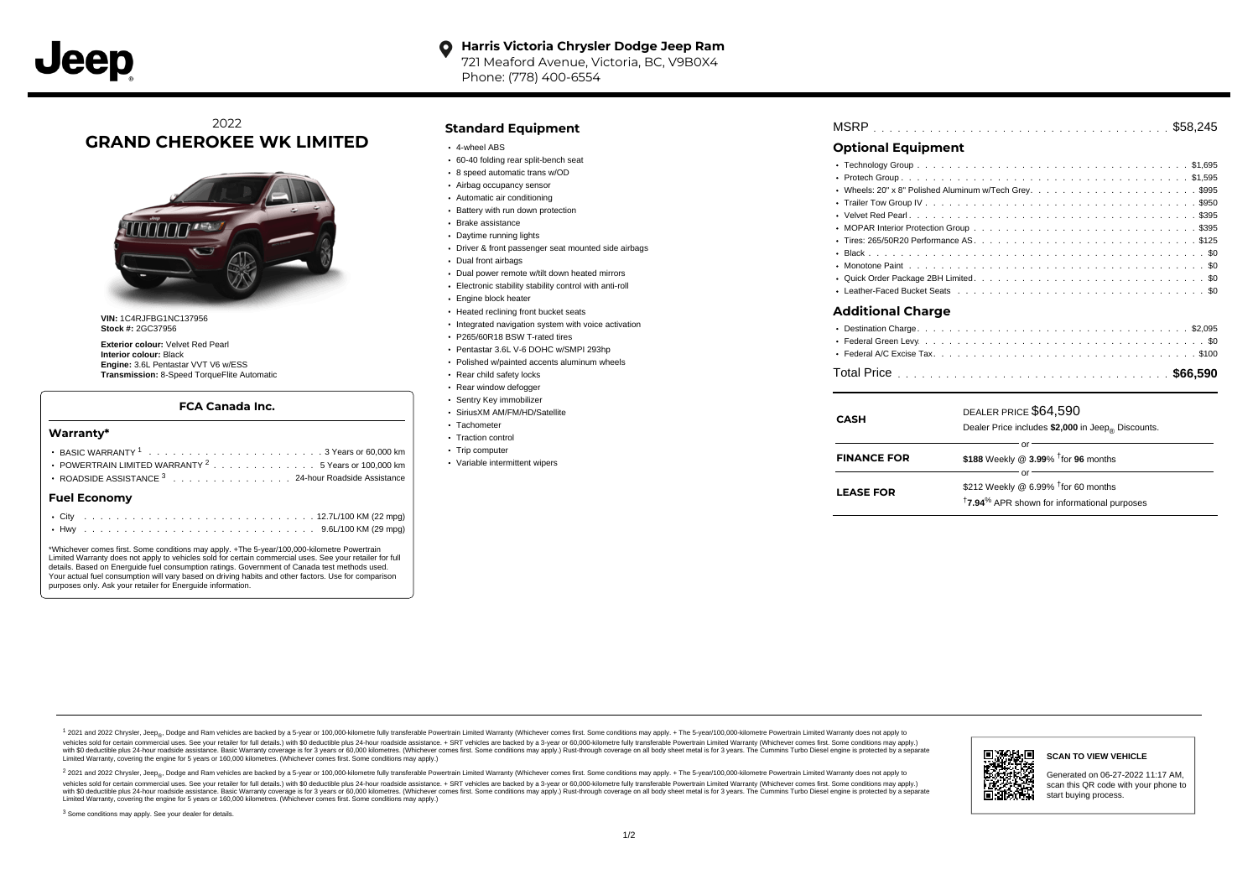721 Meaford Avenue, Victoria, BC, V9B0X4 Phone: (778) 400-6554

# 2022 **GRAND CHEROKEE WK LIMITED**



**VIN:** 1C4RJFBG1NC137956 **Stock #:** 2GC37956

**Exterior colour:** Velvet Red Pearl **Interior colour:** Black **Engine:** 3.6L Pentastar VVT V6 w/ESS **Transmission:** 8-Speed TorqueFlite Automatic

#### **FCA Canada Inc.**

#### **Warranty\***

| <b>Fuel Economv</b>                                            |  |  |  |  |  |  |  |
|----------------------------------------------------------------|--|--|--|--|--|--|--|
| ROADSIDE ASSISTANCE 3 24-hour Roadside Assistance              |  |  |  |  |  |  |  |
| POWERTRAIN LIMITED WARRANTY <sup>2</sup> 5 Years or 100,000 km |  |  |  |  |  |  |  |
|                                                                |  |  |  |  |  |  |  |
|                                                                |  |  |  |  |  |  |  |

\*Whichever comes first. Some conditions may apply. +The 5-year/100,000-kilometre Powertrain Limited Warranty does not apply to vehicles sold for certain commercial uses. See your retailer for full details. Based on Energuide fuel consumption ratings. Government of Canada test methods used. Your actual fuel consumption will vary based on driving habits and other factors. Use for comparison purposes only. Ask your retailer for Energuide information.

### **Standard Equipment**

- 4-wheel ABS
- 60-40 folding rear split-bench seat
- 8 speed automatic trans w/OD
- Airbag occupancy sensor
- Automatic air conditioning
- Battery with run down protection
- Brake assistance
- Daytime running lights
- Driver & front passenger seat mounted side airbags
- Dual front airbags
- Dual power remote w/tilt down heated mirrors
- Electronic stability stability control with anti-roll
- Engine block heater
- Heated reclining front bucket seats
- Integrated navigation system with voice activation
- P265/60R18 BSW T-rated tires
- Pentastar 3.6L V-6 DOHC w/SMPI 293hp
- Polished w/painted accents aluminum wheels
- Rear child safety locks
- Rear window defogger
- Sentry Key immobilizer
- SiriusXM AM/FM/HD/Satellite
- Tachometer • Traction control
- 
- Trip computer
- Variable intermittent wipers

## **Optional Equipment**

| <b>Additional Charge</b> |  |
|--------------------------|--|
|                          |  |
|                          |  |
|                          |  |

|--|--|--|--|--|--|--|--|--|--|--|--|--|--|--|--|--|--|--|--|--|--|--|--|--|--|--|--|--|

| <b>CASH</b>        | DEALER PRICE \$64,590<br>Dealer Price includes \$2,000 in Jeep® Discounts.                                                   |
|--------------------|------------------------------------------------------------------------------------------------------------------------------|
| <b>FINANCE FOR</b> | \$188 Weekly @ 3.99% <sup>t</sup> for 96 months                                                                              |
| <b>LEASE FOR</b>   | Ωľ<br>\$212 Weekly @ 6.99% <sup>†</sup> for 60 months<br><sup>†</sup> 7.94 <sup>%</sup> APR shown for informational purposes |

1 2021 and 2022 Chrysler, Jeep<sub>en</sub> Dodge and Ram vehicles are backed by a 5-year or 100,000-kilometre fully transferable Powertrain Limited Warranty (Whichever comes first. Some conditions may apply. + The 5-year/100,000-k vehicles sold for certain commercial uses. See your retailer for full details.) with \$0 deductible plus 24-hour roadside assistance. + SRT vehicles are backed by a 3-year or 60,000-kilometre fully transferable Powertrain L versus and contract the mean of the contract of the contract with a contract with a contract the contract of the search of the contract and a control of the contract and contract and control of the search of the search of Limited Warranty, covering the engine for 5 years or 160,000 kilometres. (Whichever comes first. Some conditions may apply.)

<sup>2</sup> 2021 and 2022 Chrysler, Jeep<sub>®</sub>, Dodge and Ram vehicles are backed by a 5-year or 100,000-kilometre fully transferable Powertrain Limited Warranty (Whichever comes first. Some conditions may apply. + The 5-year/100,000 vehicles sold for certain commercial uses. See your retailer for full details.) with SO deductible plus 24-hour roadside assistance. + SRT vehicles are backed by a 3-year or 60.000-kilometre fully transferable Powertrain L with S0 deductible plus 24-hour roadside assistance. Basic Warranty coverage is for 3 years or 60,000 kilometres. (Whichever comes first. Some conditions may apply.) Rust-through coverage on all body sheet metal is for 3 y



#### **SCAN TO VIEW VEHICLE**

Generated on 06-27-2022 11:17 AM, scan this QR code with your phone to start buying process.

<sup>3</sup> Some conditions may apply. See your dealer for details.